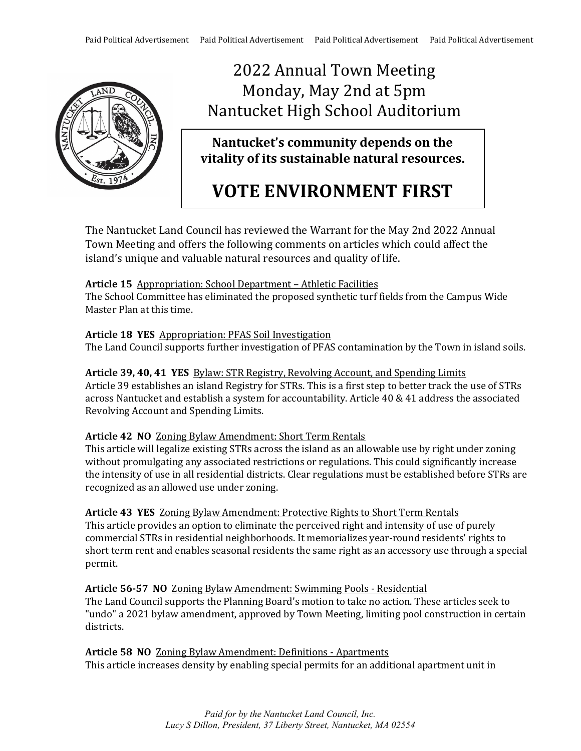

# 2022 Annual Town Meeting Monday, May 2nd at 5pm Nantucket High School Auditorium

# **Nantucket's community depends on the vitality of its sustainable natural resources.**

# **VOTE ENVIRONMENT FIRST**

The Nantucket Land Council has reviewed the Warrant for the May 2nd 2022 Annual Town Meeting and offers the following comments on articles which could affect the island's unique and valuable natural resources and quality of life.

# **Article 15** Appropriation: School Department – Athletic Facilities

The School Committee has eliminated the proposed synthetic turf fields from the Campus Wide Master Plan at this time.

### **Article 18 YES** Appropriation: PFAS Soil Investigation

The Land Council supports further investigation of PFAS contamination by the Town in island soils.

### **Article 39, 40, 41 YES** Bylaw: STR Registry, Revolving Account, and Spending Limits Article 39 establishes an island Registry for STRs. This is a first step to better track the use of STRs across Nantucket and establish a system for accountability. Article 40 & 41 address the associated Revolving Account and Spending Limits.

# **Article 42 NO** Zoning Bylaw Amendment: Short Term Rentals

This article will legalize existing STRs across the island as an allowable use by right under zoning without promulgating any associated restrictions or regulations. This could significantly increase the intensity of use in all residential districts. Clear regulations must be established before STRs are recognized as an allowed use under zoning.

**Article 43 YES** Zoning Bylaw Amendment: Protective Rights to Short Term Rentals This article provides an option to eliminate the perceived right and intensity of use of purely commercial STRs in residential neighborhoods. It memorializes year-round residents' rights to short term rent and enables seasonal residents the same right as an accessory use through a special permit.

**Article 56-57 NO** Zoning Bylaw Amendment: Swimming Pools - Residential The Land Council supports the Planning Board's motion to take no action. These articles seek to "undo" a 2021 bylaw amendment, approved by Town Meeting, limiting pool construction in certain districts.

**Article 58 NO** Zoning Bylaw Amendment: Definitions - Apartments This article increases density by enabling special permits for an additional apartment unit in